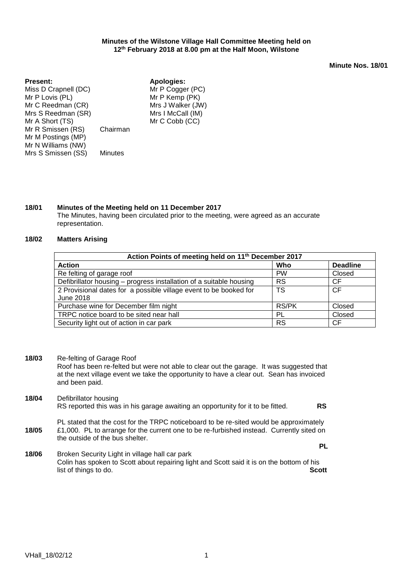## **Minutes of the Wilstone Village Hall Committee Meeting held on 12th February 2018 at 8.00 pm at the Half Moon, Wilstone**

**Minute Nos. 18/01**

| <b>Present:</b>      |                | <b>Apologies:</b> |
|----------------------|----------------|-------------------|
| Miss D Crapnell (DC) |                | Mr P Cogger (PC)  |
| Mr P Lovis (PL)      |                | Mr P Kemp (PK)    |
| Mr C Reedman (CR)    |                | Mrs J Walker (JW) |
| Mrs S Reedman (SR)   |                | Mrs I McCall (IM) |
| Mr A Short (TS)      |                | Mr C Cobb (CC)    |
| Mr R Smissen (RS)    | Chairman       |                   |
| Mr M Postings (MP)   |                |                   |
| Mr N Williams (NW)   |                |                   |
| Mrs S Smissen (SS)   | <b>Minutes</b> |                   |
|                      |                |                   |

# **18/01 Minutes of the Meeting held on 11 December 2017**

The Minutes, having been circulated prior to the meeting, were agreed as an accurate representation.

## **18/02 Matters Arising**

| Action Points of meeting held on 11 <sup>th</sup> December 2017                |              |                 |  |  |  |
|--------------------------------------------------------------------------------|--------------|-----------------|--|--|--|
| <b>Action</b>                                                                  | Who          | <b>Deadline</b> |  |  |  |
| Re felting of garage roof                                                      | <b>PW</b>    | Closed          |  |  |  |
| Defibrillator housing – progress installation of a suitable housing            | <b>RS</b>    | <b>CF</b>       |  |  |  |
| 2 Provisional dates for a possible village event to be booked for<br>June 2018 | TS           | <b>CF</b>       |  |  |  |
| Purchase wine for December film night                                          | <b>RS/PK</b> | Closed          |  |  |  |
| TRPC notice board to be sited near hall                                        | PL           | Closed          |  |  |  |
| Security light out of action in car park                                       | <b>RS</b>    | <b>CF</b>       |  |  |  |

**18/03** Re-felting of Garage Roof

Roof has been re-felted but were not able to clear out the garage. It was suggested that at the next village event we take the opportunity to have a clear out. Sean has invoiced and been paid.

**18/04** Defibrillator housing RS reported this was in his garage awaiting an opportunity for it to be fitted. **RS**

**18/05** PL stated that the cost for the TRPC noticeboard to be re-sited would be approximately £1,000. PL to arrange for the current one to be re-furbished instead. Currently sited on the outside of the bus shelter. **PL**

**18/06** Broken Security Light in village hall car park Colin has spoken to Scott about repairing light and Scott said it is on the bottom of his list of things to do. **Scott**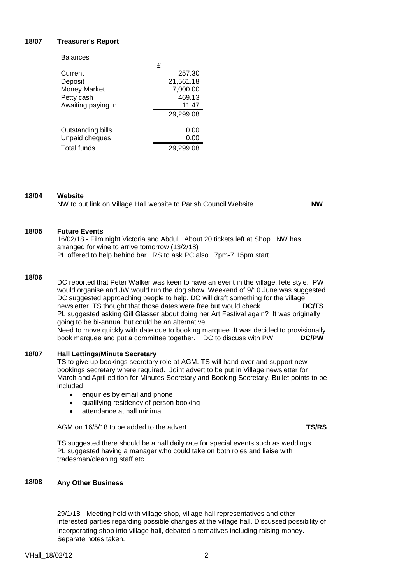# **18/07 Treasurer's Report**

| <b>Balances</b>    |   |           |
|--------------------|---|-----------|
|                    | £ |           |
| Current            |   | 257.30    |
| Deposit            |   | 21,561.18 |
| Money Market       |   | 7,000.00  |
| Petty cash         |   | 469.13    |
| Awaiting paying in |   | 11.47     |
|                    |   | 29,299.08 |
| Outstanding bills  |   | 0.00      |
| Unpaid cheques     |   | 0.00      |
| Total funds        |   | 29,299.08 |
|                    |   |           |

# **18/04 Website**

NW to put link on Village Hall website to Parish Council Website **NW**

#### **18/05 Future Events**

16/02/18 - Film night Victoria and Abdul. About 20 tickets left at Shop. NW has arranged for wine to arrive tomorrow (13/2/18) PL offered to help behind bar. RS to ask PC also. 7pm-7.15pm start

### **18/06**

DC reported that Peter Walker was keen to have an event in the village, fete style. PW would organise and JW would run the dog show. Weekend of 9/10 June was suggested. DC suggested approaching people to help. DC will draft something for the village newsletter. TS thought that those dates were free but would check **DC/TS** PL suggested asking Gill Glasser about doing her Art Festival again? It was originally going to be bi-annual but could be an alternative. Need to move quickly with date due to booking marquee. It was decided to provisionally book marquee and put a committee together. DC to discuss with PW **DC/PW**

#### **18/07 Hall Lettings/Minute Secretary**

TS to give up bookings secretary role at AGM. TS will hand over and support new bookings secretary where required. Joint advert to be put in Village newsletter for March and April edition for Minutes Secretary and Booking Secretary. Bullet points to be included

- enquiries by email and phone
- qualifying residency of person booking
- attendance at hall minimal

AGM on 16/5/18 to be added to the advert. **TS/RS**

TS suggested there should be a hall daily rate for special events such as weddings. PL suggested having a manager who could take on both roles and liaise with tradesman/cleaning staff etc

#### **18/08 Any Other Business**

29/1/18 - Meeting held with village shop, village hall representatives and other interested parties regarding possible changes at the village hall. Discussed possibility of incorporating shop into village hall, debated alternatives including raising money. Separate notes taken.